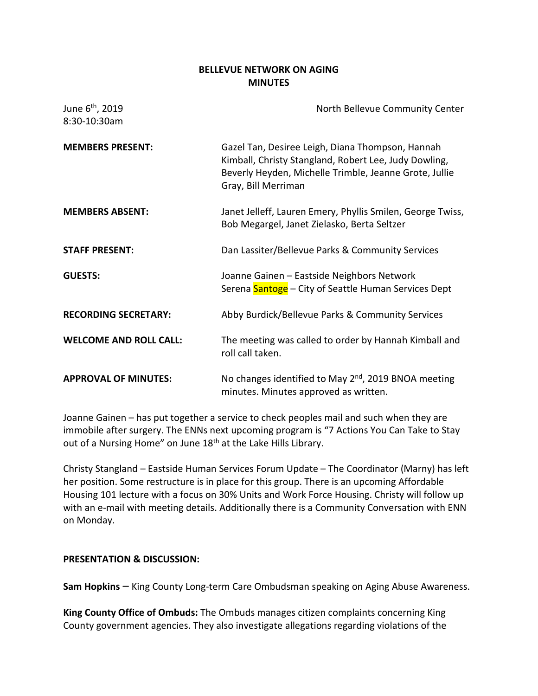## **BELLEVUE NETWORK ON AGING MINUTES**

| June 6 <sup>th</sup> , 2019<br>8:30-10:30am | North Bellevue Community Center                                                                                                                                                            |
|---------------------------------------------|--------------------------------------------------------------------------------------------------------------------------------------------------------------------------------------------|
| <b>MEMBERS PRESENT:</b>                     | Gazel Tan, Desiree Leigh, Diana Thompson, Hannah<br>Kimball, Christy Stangland, Robert Lee, Judy Dowling,<br>Beverly Heyden, Michelle Trimble, Jeanne Grote, Jullie<br>Gray, Bill Merriman |
| <b>MEMBERS ABSENT:</b>                      | Janet Jelleff, Lauren Emery, Phyllis Smilen, George Twiss,<br>Bob Megargel, Janet Zielasko, Berta Seltzer                                                                                  |
| <b>STAFF PRESENT:</b>                       | Dan Lassiter/Bellevue Parks & Community Services                                                                                                                                           |
| <b>GUESTS:</b>                              | Joanne Gainen - Eastside Neighbors Network<br>Serena Santoge - City of Seattle Human Services Dept                                                                                         |
| <b>RECORDING SECRETARY:</b>                 | Abby Burdick/Bellevue Parks & Community Services                                                                                                                                           |
| <b>WELCOME AND ROLL CALL:</b>               | The meeting was called to order by Hannah Kimball and<br>roll call taken.                                                                                                                  |
| <b>APPROVAL OF MINUTES:</b>                 | No changes identified to May 2 <sup>nd</sup> , 2019 BNOA meeting<br>minutes. Minutes approved as written.                                                                                  |

Joanne Gainen – has put together a service to check peoples mail and such when they are immobile after surgery. The ENNs next upcoming program is "7 Actions You Can Take to Stay out of a Nursing Home" on June 18<sup>th</sup> at the Lake Hills Library.

Christy Stangland – Eastside Human Services Forum Update – The Coordinator (Marny) has left her position. Some restructure is in place for this group. There is an upcoming Affordable Housing 101 lecture with a focus on 30% Units and Work Force Housing. Christy will follow up with an e-mail with meeting details. Additionally there is a Community Conversation with ENN on Monday.

### **PRESENTATION & DISCUSSION:**

**Sam Hopkins** – King County Long-term Care Ombudsman speaking on Aging Abuse Awareness.

**King County Office of Ombuds:** The Ombuds manages citizen complaints concerning King County government agencies. They also investigate allegations regarding violations of the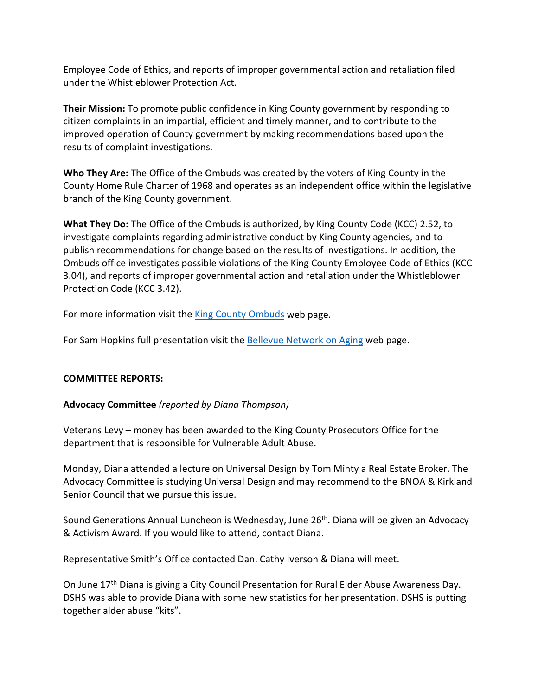Employee Code of Ethics, and reports of improper governmental action and retaliation filed under the Whistleblower Protection Act.

**Their Mission:** To promote public confidence in King County government by responding to citizen complaints in an impartial, efficient and timely manner, and to contribute to the improved operation of County government by making recommendations based upon the results of complaint investigations.

**Who They Are:** The Office of the Ombuds was created by the voters of King County in the County Home Rule Charter of 1968 and operates as an independent office within the legislative branch of the King County government.

**What They Do:** The Office of the Ombuds is authorized, by [King County Code \(KCC\) 2.52,](https://www.kingcounty.gov/%7E/media/independent/ombuds/april2018/new/KCC2-52update4-20.ashx?la=en) to investigate complaints regarding administrative conduct by King County agencies, and to publish recommendations for change based on the results of investigations. In addition, the Ombuds office investigates possible violations of the [King County Employee Code of Ethics \(KCC](https://www.kingcounty.gov/%7E/media/independent/ombuds/documents/KCC_EthicsCode0113.ashx?la=en)  [3.04\),](https://www.kingcounty.gov/%7E/media/independent/ombuds/documents/KCC_EthicsCode0113.ashx?la=en) and reports of improper governmental action and retaliation under the Whistleblower Protection Code (KCC 3.42).

For more information visit the [King County Ombuds](https://www.kingcounty.gov/independent/ombuds/citizen.aspx) web page.

For Sam Hopkins full presentation visit the [Bellevue Network on Aging](https://bellevuewa.gov/city-government/departments/city-clerks-office/boards-and-commissions/network-on-aging) web page.

# **COMMITTEE REPORTS:**

# **Advocacy Committee** *(reported by Diana Thompson)*

Veterans Levy – money has been awarded to the King County Prosecutors Office for the department that is responsible for Vulnerable Adult Abuse.

Monday, Diana attended a lecture on Universal Design by Tom Minty a Real Estate Broker. The Advocacy Committee is studying Universal Design and may recommend to the BNOA & Kirkland Senior Council that we pursue this issue.

Sound Generations Annual Luncheon is Wednesday, June 26<sup>th</sup>. Diana will be given an Advocacy & Activism Award. If you would like to attend, contact Diana.

Representative Smith's Office contacted Dan. Cathy Iverson & Diana will meet.

On June 17<sup>th</sup> Diana is giving a City Council Presentation for Rural Elder Abuse Awareness Day. DSHS was able to provide Diana with some new statistics for her presentation. DSHS is putting together alder abuse "kits".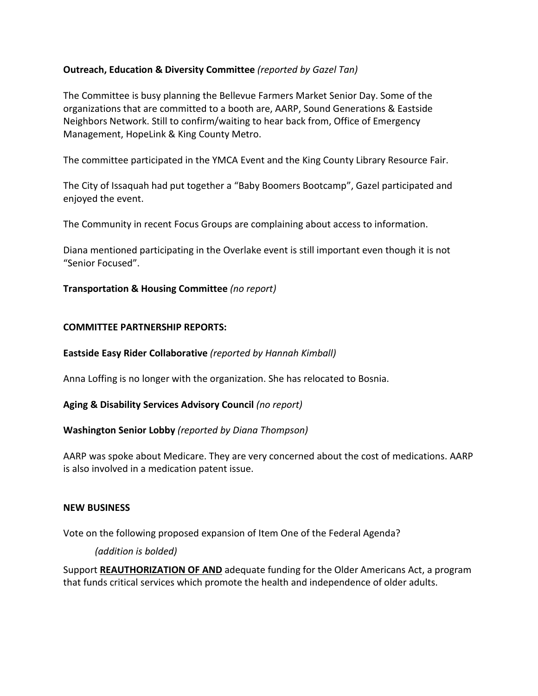## **Outreach, Education & Diversity Committee** *(reported by Gazel Tan)*

The Committee is busy planning the Bellevue Farmers Market Senior Day. Some of the organizations that are committed to a booth are, AARP, Sound Generations & Eastside Neighbors Network. Still to confirm/waiting to hear back from, Office of Emergency Management, HopeLink & King County Metro.

The committee participated in the YMCA Event and the King County Library Resource Fair.

The City of Issaquah had put together a "Baby Boomers Bootcamp", Gazel participated and enjoyed the event.

The Community in recent Focus Groups are complaining about access to information.

Diana mentioned participating in the Overlake event is still important even though it is not "Senior Focused".

### **Transportation & Housing Committee** *(no report)*

### **COMMITTEE PARTNERSHIP REPORTS:**

### **Eastside Easy Rider Collaborative** *(reported by Hannah Kimball)*

Anna Loffing is no longer with the organization. She has relocated to Bosnia.

#### **Aging & Disability Services Advisory Council** *(no report)*

### **Washington Senior Lobby** *(reported by Diana Thompson)*

AARP was spoke about Medicare. They are very concerned about the cost of medications. AARP is also involved in a medication patent issue.

#### **NEW BUSINESS**

Vote on the following proposed expansion of Item One of the Federal Agenda?

### *(addition is bolded)*

Support **REAUTHORIZATION OF AND** adequate funding for the Older Americans Act, a program that funds critical services which promote the health and independence of older adults.